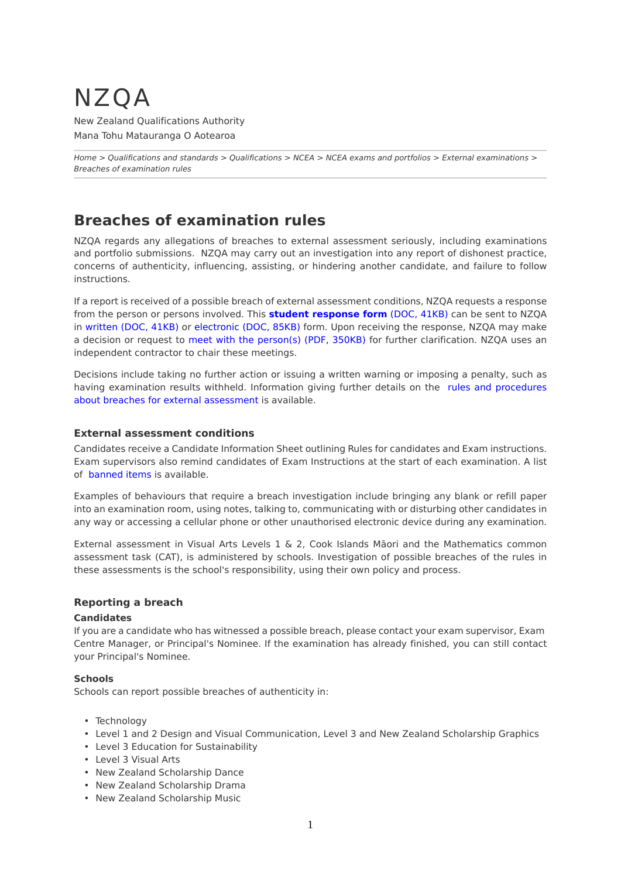# NZQA

New Zealand Qualifications Authority Mana Tohu Matauranga O Aotearoa

*[Home](http://www.nzqa.govt.nz/home) > [Qualifications and standards](http://www.nzqa.govt.nz/qualifications-standards/) > [Qualifications](http://www.nzqa.govt.nz/qualifications-standards/qualifications/) > [NCEA](http://www.nzqa.govt.nz/qualifications-standards/qualifications/ncea/) > [NCEA exams and portfolios](http://www.nzqa.govt.nz/qualifications-standards/qualifications/ncea/ncea-exams-and-portfolios/) > [External examinations](http://www.nzqa.govt.nz/qualifications-standards/qualifications/ncea/ncea-exams-and-portfolios/external/) > Breaches of examination rules*

## **Breaches of examination rules**

NZQA regards any allegations of breaches to external assessment seriously, including examinations and portfolio submissions. NZQA may carry out an investigation into any report of dishonest practice, concerns of authenticity, influencing, assisting, or hindering another candidate, and failure to follow instructions.

If a report is received of a possible breach of external assessment conditions, NZQA requests a response from the person or persons involved. This **[student response form](http://www.nzqa.govt.nz/assets/qualifications-and-standards/qualifications/ncea/2015-Breaches-Reply-Form-post.doc)** (DOC, 41KB) can be sent to NZQA in [written \(DOC, 41KB\)](http://www.nzqa.govt.nz/assets/qualifications-and-standards/qualifications/ncea/2015-Breaches-Reply-Form-post.doc) or [electronic \(DOC, 85KB\)](http://www.nzqa.govt.nz/assets/qualifications-and-standards/qualifications/ncea/2015-Breaches-Reply-Form-email.doc) form. Upon receiving the response, NZQA may make a decision or request to [meet with the person\(s\) \(PDF, 350KB\)](http://www.nzqa.govt.nz/assets/qualifications-and-standards/qualifications/ncea/Meeting-pamphlet-2015.pdf) for further clarification. NZQA uses an independent contractor to chair these meetings.

Decisions include taking no further action or issuing a written warning or imposing a penalty, such as having examination results withheld. Information giving further details on the [rules and procedures](http://www.nzqa.govt.nz/about-us/our-role/legislation/nzqa-rules/assessment-including-examination-rules-2016/7/1/3/) [about breaches for external assessment](http://www.nzqa.govt.nz/about-us/our-role/legislation/nzqa-rules/assessment-including-examination-rules-2016/7/1/3/) is available.

#### **External assessment conditions**

Candidates receive a Candidate Information Sheet outlining Rules for candidates and Exam instructions. Exam supervisors also remind candidates of Exam Instructions at the start of each examination. A list of [banned items](http://www.nzqa.govt.nz/qualifications-standards/qualifications/ncea/ncea-exams-and-portfolios/external/external-examination-information-for-students/) is available.

Examples of behaviours that require a breach investigation include bringing any blank or refill paper into an examination room, using notes, talking to, communicating with or disturbing other candidates in any way or accessing a cellular phone or other unauthorised electronic device during any examination.

External assessment in Visual Arts Levels 1 & 2, Cook Islands Māori and the Mathematics common assessment task (CAT), is administered by schools. Investigation of possible breaches of the rules in these assessments is the school's responsibility, using their own policy and process.

#### **Reporting a breach**

#### **Candidates**

If you are a candidate who has witnessed a possible breach, please contact your exam supervisor, Exam Centre Manager, or Principal's Nominee. If the examination has already finished, you can still contact your Principal's Nominee.

#### **Schools**

Schools can report possible breaches of authenticity in:

- Technology
- Level 1 and 2 Design and Visual Communication, Level 3 and New Zealand Scholarship Graphics
- Level 3 Education for Sustainability
- Level 3 Visual Arts
- New Zealand Scholarship Dance
- New Zealand Scholarship Drama
- New Zealand Scholarship Music